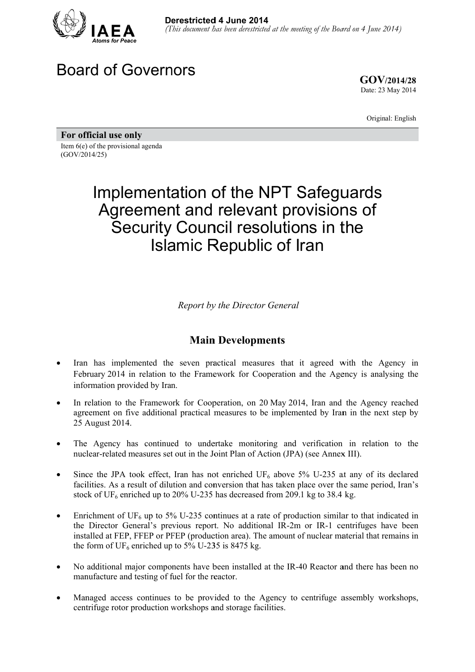

# Board of Governors

**GOV/ /2014/28** Date: 23 May 2014

Original: English

For official use only Item 6(e) of the provisional agenda (GOV/2014/25)

# Implementation of the NPT Safeguards Agreement and relevant provisions of Security Council resolutions in the Islamic Republic of Iran

**Report by the Director General** 

### **Main Developments**

- Iran has implemented the seven practical measures that it agreed with the Agency in February 2014 in relation to the Framework for Cooperation and the Agency is analysing the information provided by Iran.
- In relation to the Framework for Cooperation, on 20 May 2014, Iran and the Agency reached agreement on five additional practical measures to be implemented by Iran in the next step by 25 A August 2014 4.
- The Agency has continued to undertake monitoring and verification in relation to the nuclear-related measures set out in the Joint Plan of Action (JPA) (see Annex III).
- Since the JPA took effect, Iran has not enriched UF<sub>6</sub> above 5% U-235 at any of its declared facilities. As a result of dilution and conversion that has taken place over the same period, Iran's stock of  $UF_6$  enriched up to 20% U-235 has decreased from 209.1 kg to 38.4 kg.
- Enrichment of UF<sub>6</sub> up to 5% U-235 continues at a rate of production similar to that indicated in the Director General's previous report. No additional IR-2m or IR-1 centrifuges have been installed at FEP, FFEP or PFEP (production area). The amount of nuclear material that remains in the form of  $UF_6$  enriched up to 5% U-235 is 8475 kg.
- No additional major components have been installed at the IR-40 Reactor and there has been no manufacture and testing of fuel for the reactor.
- Managed access continues to be provided to the Agency to centrifuge assembly workshops, centrifuge rotor production workshops and storage facilities.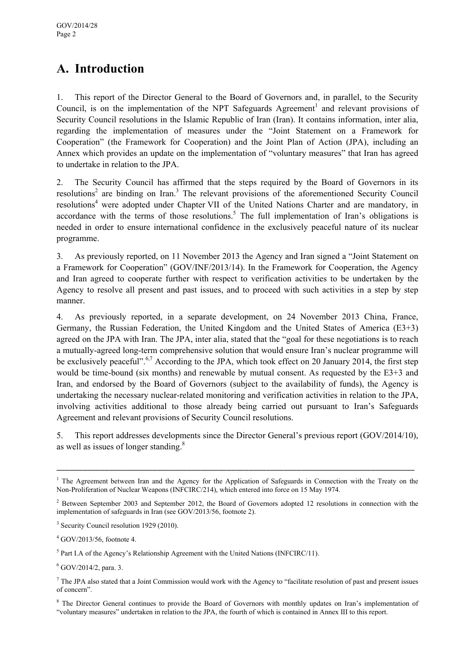# **A. Introduction**

1. This report of the Director General to the Board of Governors and, in parallel, to the Security Council, is on the implementation of the NPT Safeguards Agreement<sup>1</sup> and relevant provisions of Security Council resolutions in the Islamic Republic of Iran (Iran). It contains information, inter alia, regarding the implementation of measures under the "Joint Statement on a Framework for Cooperation" (the Framework for Cooperation) and the Joint Plan of Action (JPA), including an Annex which provides an update on the implementation of "voluntary measures" that Iran has agreed to undertake in relation to the JPA.

2. The Security Council has affirmed that the steps required by the Board of Governors in its resolutions<sup>2</sup> are binding on Iran.<sup>3</sup> The relevant provisions of the aforementioned Security Council resolutions<sup>4</sup> were adopted under Chapter VII of the United Nations Charter and are mandatory, in accordance with the terms of those resolutions.<sup>5</sup> The full implementation of Iran's obligations is needed in order to ensure international confidence in the exclusively peaceful nature of its nuclear programme.

3. As previously reported, on 11 November 2013 the Agency and Iran signed a "Joint Statement on a Framework for Cooperation" (GOV/INF/2013/14). In the Framework for Cooperation, the Agency and Iran agreed to cooperate further with respect to verification activities to be undertaken by the Agency to resolve all present and past issues, and to proceed with such activities in a step by step manner.

4. As previously reported, in a separate development, on 24 November 2013 China, France, Germany, the Russian Federation, the United Kingdom and the United States of America (E3+3) agreed on the JPA with Iran. The JPA, inter alia, stated that the "goal for these negotiations is to reach a mutually-agreed long-term comprehensive solution that would ensure Iran's nuclear programme will be exclusively peaceful".<sup>6,7</sup> According to the JPA, which took effect on 20 January 2014, the first step would be time-bound (six months) and renewable by mutual consent. As requested by the E3+3 and Iran, and endorsed by the Board of Governors (subject to the availability of funds), the Agency is undertaking the necessary nuclear-related monitoring and verification activities in relation to the JPA, involving activities additional to those already being carried out pursuant to Iran's Safeguards Agreement and relevant provisions of Security Council resolutions.

5. This report addresses developments since the Director General's previous report (GOV/2014/10), as well as issues of longer standing.<sup>8</sup>

\_\_\_\_\_\_\_\_\_\_\_\_\_\_\_\_\_\_\_\_\_\_\_\_\_\_\_\_\_\_\_\_\_\_\_\_\_\_\_\_\_\_\_\_\_\_\_\_\_\_\_\_\_\_\_\_\_\_\_\_\_\_\_\_\_\_\_\_\_\_\_\_\_\_\_\_\_\_\_\_\_\_

 $<sup>5</sup>$  Part I.A of the Agency's Relationship Agreement with the United Nations (INFCIRC/11).</sup>

 $6$  GOV/2014/2, para. 3.

<sup>&</sup>lt;sup>1</sup> The Agreement between Iran and the Agency for the Application of Safeguards in Connection with the Treaty on the Non-Proliferation of Nuclear Weapons (INFCIRC/214), which entered into force on 15 May 1974.

<sup>&</sup>lt;sup>2</sup> Between September 2003 and September 2012, the Board of Governors adopted 12 resolutions in connection with the implementation of safeguards in Iran (see GOV/2013/56, footnote 2).

<sup>&</sup>lt;sup>3</sup> Security Council resolution 1929 (2010).

<sup>4</sup> GOV/2013/56, footnote 4.

 $<sup>7</sup>$  The JPA also stated that a Joint Commission would work with the Agency to "facilitate resolution of past and present issues</sup> of concern".

<sup>&</sup>lt;sup>8</sup> The Director General continues to provide the Board of Governors with monthly updates on Iran's implementation of "voluntary measures" undertaken in relation to the JPA, the fourth of which is contained in Annex III to this report.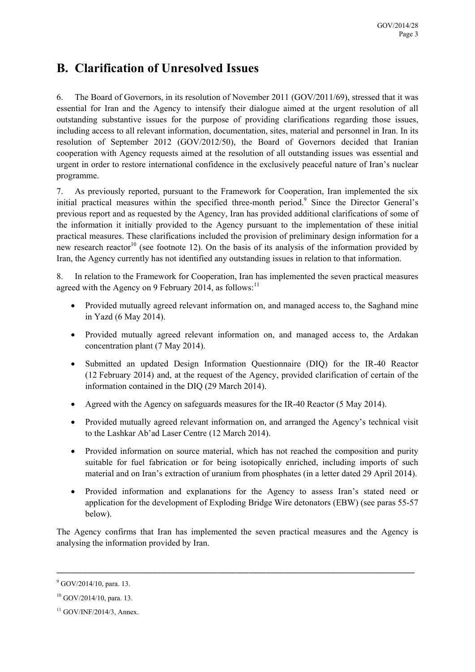# **B. Clarification of Unresolved Issues**

6. The Board of Governors, in its resolution of November 2011 (GOV/2011/69), stressed that it was essential for Iran and the Agency to intensify their dialogue aimed at the urgent resolution of all outstanding substantive issues for the purpose of providing clarifications regarding those issues, including access to all relevant information, documentation, sites, material and personnel in Iran. In its resolution of September 2012 (GOV/2012/50), the Board of Governors decided that Iranian cooperation with Agency requests aimed at the resolution of all outstanding issues was essential and urgent in order to restore international confidence in the exclusively peaceful nature of Iran's nuclear programme.

7. As previously reported, pursuant to the Framework for Cooperation, Iran implemented the six initial practical measures within the specified three-month period.<sup>9</sup> Since the Director General's previous report and as requested by the Agency, Iran has provided additional clarifications of some of the information it initially provided to the Agency pursuant to the implementation of these initial practical measures. These clarifications included the provision of preliminary design information for a new research reactor<sup>10</sup> (see footnote 12). On the basis of its analysis of the information provided by Iran, the Agency currently has not identified any outstanding issues in relation to that information.

8. In relation to the Framework for Cooperation, Iran has implemented the seven practical measures agreed with the Agency on 9 February 2014, as follows:<sup>11</sup>

- Provided mutually agreed relevant information on, and managed access to, the Saghand mine in Yazd (6 May 2014).
- Provided mutually agreed relevant information on, and managed access to, the Ardakan concentration plant (7 May 2014).
- Submitted an updated Design Information Questionnaire (DIQ) for the IR-40 Reactor (12 February 2014) and, at the request of the Agency, provided clarification of certain of the information contained in the DIQ (29 March 2014).
- Agreed with the Agency on safeguards measures for the IR-40 Reactor (5 May 2014).
- Provided mutually agreed relevant information on, and arranged the Agency's technical visit to the Lashkar Ab'ad Laser Centre (12 March 2014).
- Provided information on source material, which has not reached the composition and purity suitable for fuel fabrication or for being isotopically enriched, including imports of such material and on Iran's extraction of uranium from phosphates (in a letter dated 29 April 2014).
- Provided information and explanations for the Agency to assess Iran's stated need or application for the development of Exploding Bridge Wire detonators (EBW) (see paras 55-57 below).

The Agency confirms that Iran has implemented the seven practical measures and the Agency is analysing the information provided by Iran.

 $9^9$  GOV/2014/10, para. 13.

 $10$  GOV/2014/10, para. 13.

 $11$  GOV/INF/2014/3, Annex.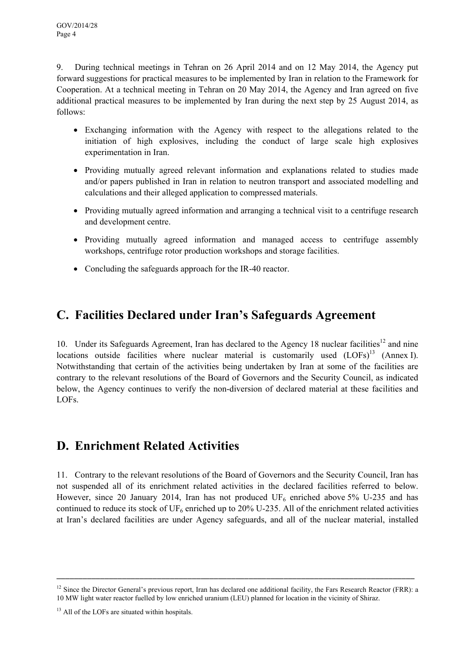9. During technical meetings in Tehran on 26 April 2014 and on 12 May 2014, the Agency put forward suggestions for practical measures to be implemented by Iran in relation to the Framework for Cooperation. At a technical meeting in Tehran on 20 May 2014, the Agency and Iran agreed on five additional practical measures to be implemented by Iran during the next step by 25 August 2014, as follows:

- Exchanging information with the Agency with respect to the allegations related to the initiation of high explosives, including the conduct of large scale high explosives experimentation in Iran.
- Providing mutually agreed relevant information and explanations related to studies made and/or papers published in Iran in relation to neutron transport and associated modelling and calculations and their alleged application to compressed materials.
- Providing mutually agreed information and arranging a technical visit to a centrifuge research and development centre.
- Providing mutually agreed information and managed access to centrifuge assembly workshops, centrifuge rotor production workshops and storage facilities.
- Concluding the safeguards approach for the IR-40 reactor.

## **C. Facilities Declared under Iran's Safeguards Agreement**

10. Under its Safeguards Agreement, Iran has declared to the Agency 18 nuclear facilities<sup>12</sup> and nine locations outside facilities where nuclear material is customarily used  $(LOFs)^{13}$  (Annex I). Notwithstanding that certain of the activities being undertaken by Iran at some of the facilities are contrary to the relevant resolutions of the Board of Governors and the Security Council, as indicated below, the Agency continues to verify the non-diversion of declared material at these facilities and LOFs.

### **D. Enrichment Related Activities**

11. Contrary to the relevant resolutions of the Board of Governors and the Security Council, Iran has not suspended all of its enrichment related activities in the declared facilities referred to below. However, since 20 January 2014, Iran has not produced  $UF_6$  enriched above 5% U-235 and has continued to reduce its stock of  $UF_6$  enriched up to 20% U-235. All of the enrichment related activities at Iran's declared facilities are under Agency safeguards, and all of the nuclear material, installed

 $12$  Since the Director General's previous report. Iran has declared one additional facility, the Fars Research Reactor (FRR): a 10 MW light water reactor fuelled by low enriched uranium (LEU) planned for location in the vicinity of Shiraz.

<sup>&</sup>lt;sup>13</sup> All of the LOFs are situated within hospitals.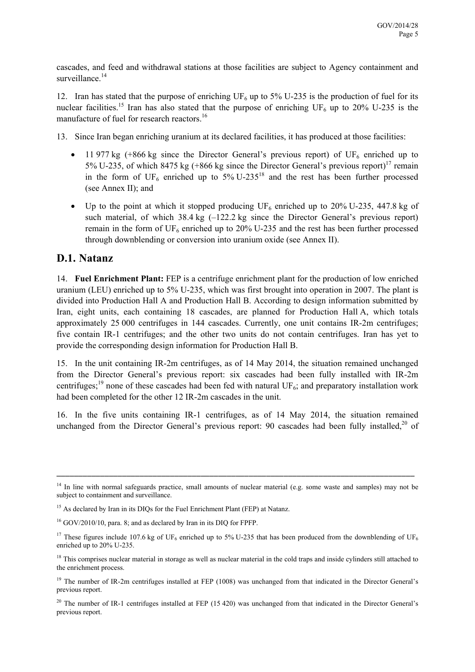cascades, and feed and withdrawal stations at those facilities are subject to Agency containment and surveillance.<sup>14</sup>

12. Iran has stated that the purpose of enriching  $UF_6$  up to 5% U-235 is the production of fuel for its nuclear facilities.<sup>15</sup> Iran has also stated that the purpose of enriching UF<sub>6</sub> up to 20% U-235 is the manufacture of fuel for research reactors.<sup>16</sup>

13. Since Iran began enriching uranium at its declared facilities, it has produced at those facilities:

- 11 977 kg (+866 kg since the Director General's previous report) of  $UF_6$  enriched up to 5% U-235, of which 8475 kg (+866 kg since the Director General's previous report)<sup>17</sup> remain in the form of  $UF_6$  enriched up to 5% U-235<sup>18</sup> and the rest has been further processed (see Annex II); and
- Up to the point at which it stopped producing  $UF_6$  enriched up to 20% U-235, 447.8 kg of such material, of which 38.4 kg  $(-122.2 \text{ kg})$  since the Director General's previous report) remain in the form of  $UF_6$  enriched up to 20% U-235 and the rest has been further processed through downblending or conversion into uranium oxide (see Annex II).

### **D.1. Natanz**

14. **Fuel Enrichment Plant:** FEP is a centrifuge enrichment plant for the production of low enriched uranium (LEU) enriched up to 5% U-235, which was first brought into operation in 2007. The plant is divided into Production Hall A and Production Hall B. According to design information submitted by Iran, eight units, each containing 18 cascades, are planned for Production Hall A, which totals approximately 25 000 centrifuges in 144 cascades. Currently, one unit contains IR-2m centrifuges; five contain IR-1 centrifuges; and the other two units do not contain centrifuges. Iran has yet to provide the corresponding design information for Production Hall B.

15. In the unit containing IR-2m centrifuges, as of 14 May 2014, the situation remained unchanged from the Director General's previous report: six cascades had been fully installed with IR-2m centrifuges;<sup>19</sup> none of these cascades had been fed with natural UF<sub>6</sub>; and preparatory installation work had been completed for the other 12 IR-2m cascades in the unit.

16. In the five units containing IR-1 centrifuges, as of 14 May 2014, the situation remained unchanged from the Director General's previous report: 90 cascades had been fully installed.<sup>20</sup> of

 $14$  In line with normal safeguards practice, small amounts of nuclear material (e.g. some waste and samples) may not be subject to containment and surveillance.

<sup>&</sup>lt;sup>15</sup> As declared by Iran in its DIQs for the Fuel Enrichment Plant (FEP) at Natanz.

<sup>&</sup>lt;sup>16</sup> GOV/2010/10, para. 8; and as declared by Iran in its DIO for FPFP.

<sup>&</sup>lt;sup>17</sup> These figures include 107.6 kg of UF<sub>6</sub> enriched up to 5% U-235 that has been produced from the downblending of UF<sub>6</sub> enriched up to 20% U-235.

<sup>&</sup>lt;sup>18</sup> This comprises nuclear material in storage as well as nuclear material in the cold traps and inside cylinders still attached to the enrichment process.

<sup>&</sup>lt;sup>19</sup> The number of IR-2m centrifuges installed at FEP (1008) was unchanged from that indicated in the Director General's previous report.

 $20$  The number of IR-1 centrifuges installed at FEP (15 420) was unchanged from that indicated in the Director General's previous report.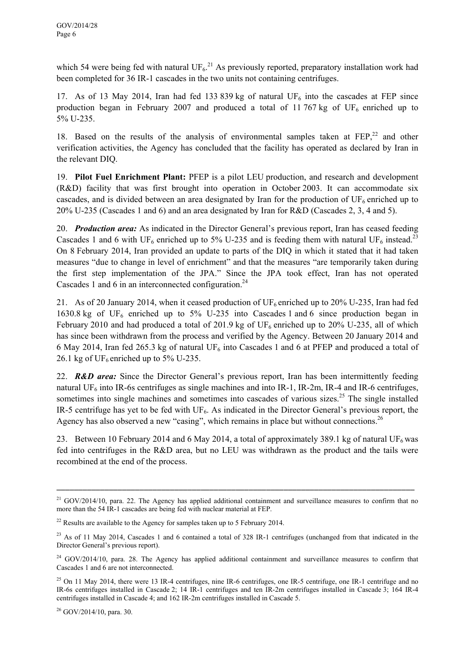which 54 were being fed with natural  $UF_6$ <sup>21</sup> As previously reported, preparatory installation work had been completed for 36 IR-1 cascades in the two units not containing centrifuges.

17. As of 13 May 2014, Iran had fed 133 839 kg of natural  $UF_6$  into the cascades at FEP since production began in February 2007 and produced a total of 11 767 kg of  $UF_6$  enriched up to 5% U-235.

18. Based on the results of the analysis of environmental samples taken at  $FEP<sub>1</sub><sup>22</sup>$  and other verification activities, the Agency has concluded that the facility has operated as declared by Iran in the relevant DIQ.

19. **Pilot Fuel Enrichment Plant:** PFEP is a pilot LEU production, and research and development (R&D) facility that was first brought into operation in October 2003. It can accommodate six cascades, and is divided between an area designated by Iran for the production of  $UF_6$  enriched up to 20% U-235 (Cascades 1 and 6) and an area designated by Iran for R&D (Cascades 2, 3, 4 and 5).

20. *Production area:* As indicated in the Director General's previous report, Iran has ceased feeding Cascades 1 and 6 with UF<sub>6</sub> enriched up to 5% U-235 and is feeding them with natural UF<sub>6</sub> instead.<sup>23</sup> On 8 February 2014, Iran provided an update to parts of the DIQ in which it stated that it had taken measures "due to change in level of enrichment" and that the measures "are temporarily taken during the first step implementation of the JPA." Since the JPA took effect, Iran has not operated Cascades 1 and 6 in an interconnected configuration.<sup>24</sup>

21. As of 20 January 2014, when it ceased production of  $UF_6$  enriched up to 20% U-235, Iran had fed 1630.8 kg of UF<sub>6</sub> enriched up to 5% U-235 into Cascades 1 and 6 since production began in February 2010 and had produced a total of 201.9 kg of  $UF_6$  enriched up to 20% U-235, all of which has since been withdrawn from the process and verified by the Agency. Between 20 January 2014 and 6 May 2014, Iran fed 265.3 kg of natural UF<sub>6</sub> into Cascades 1 and 6 at PFEP and produced a total of 26.1 kg of  $UF_6$  enriched up to 5% U-235.

22. *R&D area:* Since the Director General's previous report, Iran has been intermittently feeding natural UF<sub>6</sub> into IR-6s centrifuges as single machines and into IR-1, IR-2m, IR-4 and IR-6 centrifuges, sometimes into single machines and sometimes into cascades of various sizes.<sup>25</sup> The single installed IR-5 centrifuge has yet to be fed with  $UF_6$ . As indicated in the Director General's previous report, the Agency has also observed a new "casing", which remains in place but without connections.<sup>26</sup>

23. Between 10 February 2014 and 6 May 2014, a total of approximately 389.1 kg of natural UF<sub>6</sub> was fed into centrifuges in the R&D area, but no LEU was withdrawn as the product and the tails were recombined at the end of the process.

 $21$  GOV/2014/10, para. 22. The Agency has applied additional containment and surveillance measures to confirm that no more than the 54 IR-1 cascades are being fed with nuclear material at FEP.

 $22$  Results are available to the Agency for samples taken up to 5 February 2014.

 $^{23}$  As of 11 May 2014, Cascades 1 and 6 contained a total of 328 IR-1 centrifuges (unchanged from that indicated in the Director General's previous report).

<sup>&</sup>lt;sup>24</sup> GOV/2014/10, para. 28. The Agency has applied additional containment and surveillance measures to confirm that Cascades 1 and 6 are not interconnected.

<sup>&</sup>lt;sup>25</sup> On 11 May 2014, there were 13 IR-4 centrifuges, nine IR-6 centrifuges, one IR-5 centrifuge, one IR-1 centrifuge and no IR-6s centrifuges installed in Cascade 2; 14 IR-1 centrifuges and ten IR-2m centrifuges installed in Cascade 3; 164 IR-4 centrifuges installed in Cascade 4; and 162 IR-2m centrifuges installed in Cascade 5.

<sup>26</sup> GOV/2014/10, para. 30.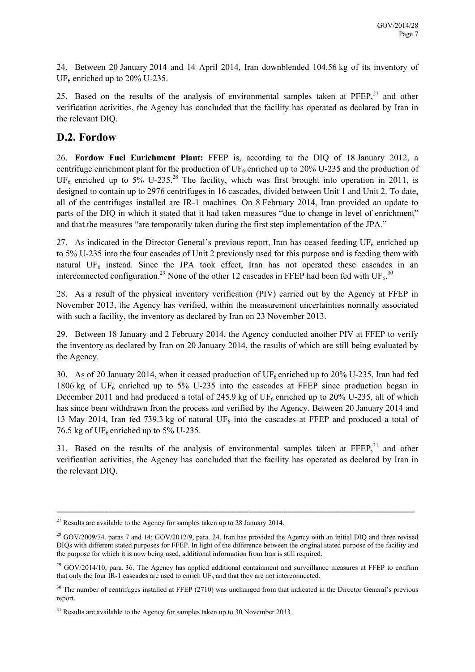24. Between 20 January 2014 and 14 April 2014, Iran downblended 104.56 kg of its inventory of  $UF<sub>6</sub>$  enriched up to 20% U-235.

25. Based on the results of the analysis of environmental samples taken at  $P F E P$ ,<sup>27</sup> and other verification activities, the Agency has concluded that the facility has operated as declared by Iran in the relevant DIQ.

### **D.2. Fordow**

26. **Fordow Fuel Enrichment Plant:** FFEP is, according to the DIQ of 18 January 2012, a centrifuge enrichment plant for the production of  $UF_6$  enriched up to 20% U-235 and the production of UF<sub>6</sub> enriched up to 5% U-235.<sup>28</sup> The facility, which was first brought into operation in 2011, is designed to contain up to 2976 centrifuges in 16 cascades, divided between Unit 1 and Unit 2. To date, all of the centrifuges installed are IR-1 machines. On 8 February 2014, Iran provided an update to parts of the DIQ in which it stated that it had taken measures "due to change in level of enrichment" and that the measures "are temporarily taken during the first step implementation of the JPA."

27. As indicated in the Director General's previous report, Iran has ceased feeding  $UF_6$  enriched up to 5% U-235 into the four cascades of Unit 2 previously used for this purpose and is feeding them with natural  $UF_6$  instead. Since the JPA took effect, Iran has not operated these cascades in an interconnected configuration.<sup>29</sup> None of the other 12 cascades in FFEP had been fed with UF<sub>6</sub>.<sup>30</sup>

28. As a result of the physical inventory verification (PIV) carried out by the Agency at FFEP in November 2013, the Agency has verified, within the measurement uncertainties normally associated with such a facility, the inventory as declared by Iran on 23 November 2013.

29. Between 18 January and 2 February 2014, the Agency conducted another PIV at FFEP to verify the inventory as declared by Iran on 20 January 2014, the results of which are still being evaluated by the Agency.

30. As of 20 January 2014, when it ceased production of  $UF_6$  enriched up to 20% U-235, Iran had fed 1806 kg of  $UF_6$  enriched up to 5% U-235 into the cascades at FFEP since production began in December 2011 and had produced a total of 245.9 kg of  $UF_6$  enriched up to 20% U-235, all of which has since been withdrawn from the process and verified by the Agency. Between 20 January 2014 and 13 May 2014, Iran fed 739.3 kg of natural  $UF_6$  into the cascades at FFEP and produced a total of 76.5 kg of UF<sub>6</sub> enriched up to 5% U-235.

31. Based on the results of the analysis of environmental samples taken at  $\text{FFEP}^{31}$  and other verification activities, the Agency has concluded that the facility has operated as declared by Iran in the relevant DIQ.

 $27$  Results are available to the Agency for samples taken up to 28 January 2014.

 $^{28}$  GOV/2009/74, paras 7 and 14; GOV/2012/9, para. 24. Iran has provided the Agency with an initial DIQ and three revised DIQs with different stated purposes for FFEP. In light of the difference between the original stated purpose of the facility and the purpose for which it is now being used, additional information from Iran is still required.

 $^{29}$  GOV/2014/10, para. 36. The Agency has applied additional containment and surveillance measures at FFEP to confirm that only the four IR-1 cascades are used to enrich  $UF<sub>6</sub>$  and that they are not interconnected.

 $30$  The number of centrifuges installed at FFEP (2710) was unchanged from that indicated in the Director General's previous report.

 $31$  Results are available to the Agency for samples taken up to 30 November 2013.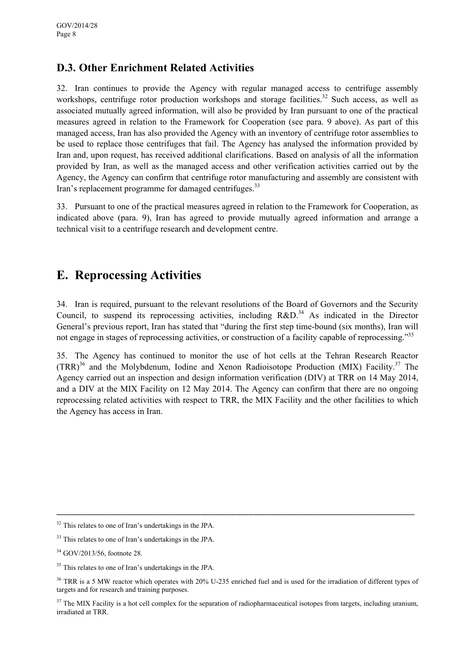### **D.3. Other Enrichment Related Activities**

32. Iran continues to provide the Agency with regular managed access to centrifuge assembly workshops, centrifuge rotor production workshops and storage facilities.<sup>32</sup> Such access, as well as associated mutually agreed information, will also be provided by Iran pursuant to one of the practical measures agreed in relation to the Framework for Cooperation (see para. 9 above). As part of this managed access, Iran has also provided the Agency with an inventory of centrifuge rotor assemblies to be used to replace those centrifuges that fail. The Agency has analysed the information provided by Iran and, upon request, has received additional clarifications. Based on analysis of all the information provided by Iran, as well as the managed access and other verification activities carried out by the Agency, the Agency can confirm that centrifuge rotor manufacturing and assembly are consistent with Iran's replacement programme for damaged centrifuges.<sup>33</sup>

33. Pursuant to one of the practical measures agreed in relation to the Framework for Cooperation, as indicated above (para. 9), Iran has agreed to provide mutually agreed information and arrange a technical visit to a centrifuge research and development centre.

# **E. Reprocessing Activities**

34. Iran is required, pursuant to the relevant resolutions of the Board of Governors and the Security Council, to suspend its reprocessing activities, including  $R&D.<sup>34</sup>$  As indicated in the Director General's previous report, Iran has stated that "during the first step time-bound (six months), Iran will not engage in stages of reprocessing activities, or construction of a facility capable of reprocessing."<sup>35</sup>

35. The Agency has continued to monitor the use of hot cells at the Tehran Research Reactor  $(TRR)^{36}$  and the Molybdenum, Iodine and Xenon Radioisotope Production (MIX) Facility.<sup>37</sup> The Agency carried out an inspection and design information verification (DIV) at TRR on 14 May 2014, and a DIV at the MIX Facility on 12 May 2014. The Agency can confirm that there are no ongoing reprocessing related activities with respect to TRR, the MIX Facility and the other facilities to which the Agency has access in Iran.

<sup>32</sup> This relates to one of Iran's undertakings in the JPA.

<sup>&</sup>lt;sup>33</sup> This relates to one of Iran's undertakings in the JPA.

<sup>34</sup> GOV/2013/56, footnote 28.

<sup>&</sup>lt;sup>35</sup> This relates to one of Iran's undertakings in the JPA.

<sup>&</sup>lt;sup>36</sup> TRR is a 5 MW reactor which operates with 20% U-235 enriched fuel and is used for the irradiation of different types of targets and for research and training purposes.

<sup>&</sup>lt;sup>37</sup> The MIX Facility is a hot cell complex for the separation of radiopharmaceutical isotopes from targets, including uranium, irradiated at TRR.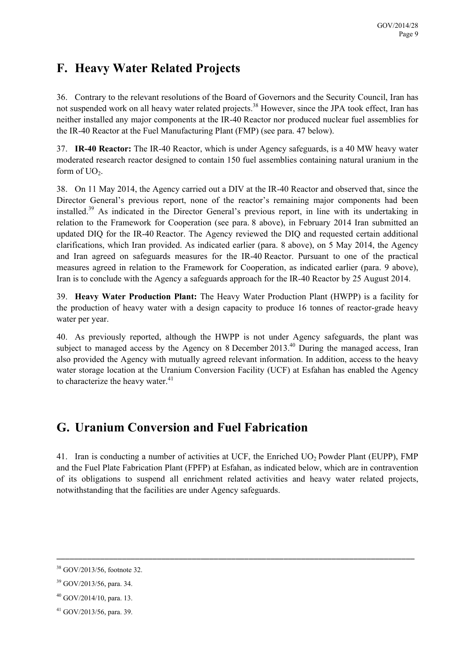# **F. Heavy Water Related Projects**

36. Contrary to the relevant resolutions of the Board of Governors and the Security Council, Iran has not suspended work on all heavy water related projects.<sup>38</sup> However, since the JPA took effect, Iran has neither installed any major components at the IR-40 Reactor nor produced nuclear fuel assemblies for the IR-40 Reactor at the Fuel Manufacturing Plant (FMP) (see para. 47 below).

37. **IR-40 Reactor:** The IR-40 Reactor, which is under Agency safeguards, is a 40 MW heavy water moderated research reactor designed to contain 150 fuel assemblies containing natural uranium in the form of  $UO<sub>2</sub>$ .

38. On 11 May 2014, the Agency carried out a DIV at the IR-40 Reactor and observed that, since the Director General's previous report, none of the reactor's remaining major components had been installed.39 As indicated in the Director General's previous report, in line with its undertaking in relation to the Framework for Cooperation (see para. 8 above), in February 2014 Iran submitted an updated DIQ for the IR-40 Reactor. The Agency reviewed the DIQ and requested certain additional clarifications, which Iran provided. As indicated earlier (para. 8 above), on 5 May 2014, the Agency and Iran agreed on safeguards measures for the IR-40 Reactor. Pursuant to one of the practical measures agreed in relation to the Framework for Cooperation, as indicated earlier (para. 9 above), Iran is to conclude with the Agency a safeguards approach for the IR-40 Reactor by 25 August 2014.

39. **Heavy Water Production Plant:** The Heavy Water Production Plant (HWPP) is a facility for the production of heavy water with a design capacity to produce 16 tonnes of reactor-grade heavy water per year.

40. As previously reported, although the HWPP is not under Agency safeguards, the plant was subject to managed access by the Agency on 8 December 2013.<sup>40</sup> During the managed access, Iran also provided the Agency with mutually agreed relevant information. In addition, access to the heavy water storage location at the Uranium Conversion Facility (UCF) at Esfahan has enabled the Agency to characterize the heavy water.<sup>41</sup>

# **G. Uranium Conversion and Fuel Fabrication**

41. Iran is conducting a number of activities at UCF, the Enriched UO<sub>2</sub> Powder Plant (EUPP), FMP and the Fuel Plate Fabrication Plant (FPFP) at Esfahan, as indicated below, which are in contravention of its obligations to suspend all enrichment related activities and heavy water related projects, notwithstanding that the facilities are under Agency safeguards.

\_\_\_\_\_\_\_\_\_\_\_\_\_\_\_\_\_\_\_\_\_\_\_\_\_\_\_\_\_\_\_\_\_\_\_\_\_\_\_\_\_\_\_\_\_\_\_\_\_\_\_\_\_\_\_\_\_\_\_\_\_\_\_\_\_\_\_\_\_\_\_\_\_\_\_\_\_\_\_\_\_\_

 $40$  GOV/2014/10, para. 13.

<sup>38</sup> GOV/2013/56, footnote 32.

<sup>39</sup> GOV/2013/56, para. 34.

<sup>41</sup> GOV/2013/56, para. 39.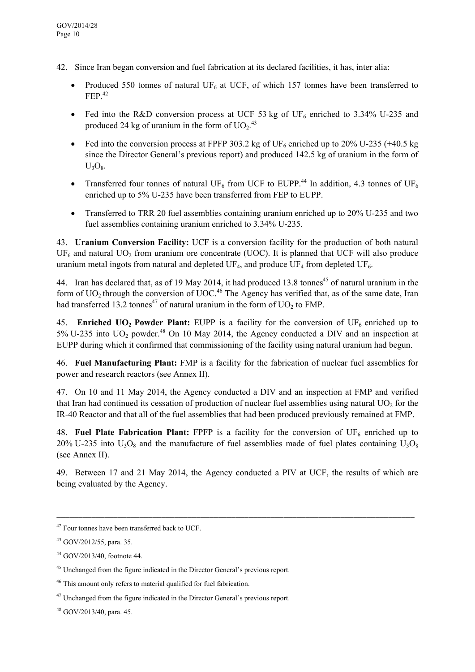- 42. Since Iran began conversion and fuel fabrication at its declared facilities, it has, inter alia:
	- Produced 550 tonnes of natural UF<sub>6</sub> at UCF, of which 157 tonnes have been transferred to  $FEP<sup>42</sup>$
	- Fed into the R&D conversion process at UCF 53 kg of UF<sub>6</sub> enriched to 3.34% U-235 and produced 24 kg of uranium in the form of  $UO_2$ .<sup>43</sup>
	- Fed into the conversion process at FPFP 303.2 kg of UF<sub>6</sub> enriched up to 20% U-235 (+40.5 kg since the Director General's previous report) and produced 142.5 kg of uranium in the form of  $U_3O_8.$
	- Transferred four tonnes of natural UF<sub>6</sub> from UCF to EUPP.<sup>44</sup> In addition, 4.3 tonnes of UF<sub>6</sub> enriched up to 5% U-235 have been transferred from FEP to EUPP.
	- Transferred to TRR 20 fuel assemblies containing uranium enriched up to 20% U-235 and two fuel assemblies containing uranium enriched to 3.34% U-235.

43. **Uranium Conversion Facility:** UCF is a conversion facility for the production of both natural  $UF<sub>6</sub>$  and natural  $UO<sub>2</sub>$  from uranium ore concentrate (UOC). It is planned that UCF will also produce uranium metal ingots from natural and depleted  $UF_4$ , and produce  $UF_4$  from depleted  $UF_6$ .

44. Iran has declared that, as of 19 May 2014, it had produced 13.8 tonnes<sup>45</sup> of natural uranium in the form of  $UO<sub>2</sub>$  through the conversion of  $UOC<sub>46</sub>$ . The Agency has verified that, as of the same date, Iran had transferred 13.2 tonnes<sup>47</sup> of natural uranium in the form of  $UO<sub>2</sub>$  to FMP.

45. **Enriched UO<sub>2</sub> Powder Plant:** EUPP is a facility for the conversion of UF<sub>6</sub> enriched up to  $5\%$  U-235 into UO<sub>2</sub> powder.<sup>48</sup> On 10 May 2014, the Agency conducted a DIV and an inspection at EUPP during which it confirmed that commissioning of the facility using natural uranium had begun.

46. **Fuel Manufacturing Plant:** FMP is a facility for the fabrication of nuclear fuel assemblies for power and research reactors (see Annex II).

47. On 10 and 11 May 2014, the Agency conducted a DIV and an inspection at FMP and verified that Iran had continued its cessation of production of nuclear fuel assemblies using natural  $UO<sub>2</sub>$  for the IR-40 Reactor and that all of the fuel assemblies that had been produced previously remained at FMP.

48. **Fuel Plate Fabrication Plant:** FPFP is a facility for the conversion of  $UF_6$  enriched up to 20% U-235 into  $U_3O_8$  and the manufacture of fuel assemblies made of fuel plates containing  $U_3O_8$ (see Annex II).

49. Between 17 and 21 May 2014, the Agency conducted a PIV at UCF, the results of which are being evaluated by the Agency.

<sup>42</sup> Four tonnes have been transferred back to UCF.

<sup>43</sup> GOV/2012/55, para. 35.

<sup>44</sup> GOV/2013/40, footnote 44.

<sup>&</sup>lt;sup>45</sup> Unchanged from the figure indicated in the Director General's previous report.

<sup>46</sup> This amount only refers to material qualified for fuel fabrication.

<sup>&</sup>lt;sup>47</sup> Unchanged from the figure indicated in the Director General's previous report.

<sup>48</sup> GOV/2013/40, para. 45.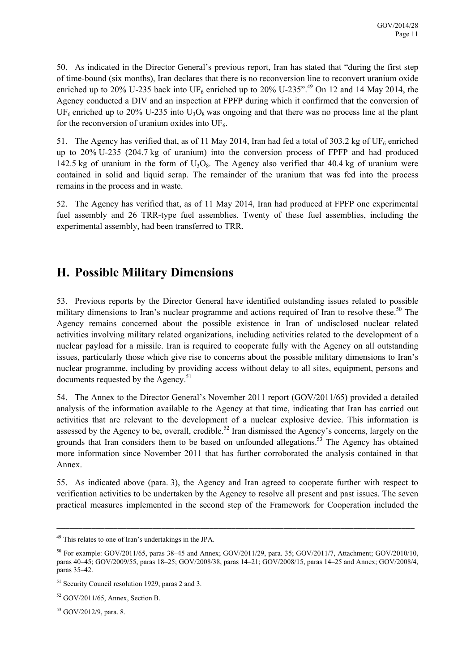50. As indicated in the Director General's previous report, Iran has stated that "during the first step of time-bound (six months), Iran declares that there is no reconversion line to reconvert uranium oxide enriched up to 20% U-235 back into  $UF_6$  enriched up to 20% U-235".<sup>49</sup> On 12 and 14 May 2014, the Agency conducted a DIV and an inspection at FPFP during which it confirmed that the conversion of UF<sub>6</sub> enriched up to 20% U-235 into  $U_3O_8$  was ongoing and that there was no process line at the plant for the reconversion of uranium oxides into  $UF<sub>6</sub>$ .

51. The Agency has verified that, as of 11 May 2014, Iran had fed a total of 303.2 kg of UF<sub>6</sub> enriched up to 20% U-235 (204.7 kg of uranium) into the conversion process of FPFP and had produced 142.5 kg of uranium in the form of  $U_3O_8$ . The Agency also verified that 40.4 kg of uranium were contained in solid and liquid scrap. The remainder of the uranium that was fed into the process remains in the process and in waste.

52. The Agency has verified that, as of 11 May 2014, Iran had produced at FPFP one experimental fuel assembly and 26 TRR-type fuel assemblies. Twenty of these fuel assemblies, including the experimental assembly, had been transferred to TRR.

# **H. Possible Military Dimensions**

53. Previous reports by the Director General have identified outstanding issues related to possible military dimensions to Iran's nuclear programme and actions required of Iran to resolve these.<sup>50</sup> The Agency remains concerned about the possible existence in Iran of undisclosed nuclear related activities involving military related organizations, including activities related to the development of a nuclear payload for a missile. Iran is required to cooperate fully with the Agency on all outstanding issues, particularly those which give rise to concerns about the possible military dimensions to Iran's nuclear programme, including by providing access without delay to all sites, equipment, persons and documents requested by the Agency.<sup>51</sup>

54. The Annex to the Director General's November 2011 report (GOV/2011/65) provided a detailed analysis of the information available to the Agency at that time, indicating that Iran has carried out activities that are relevant to the development of a nuclear explosive device. This information is assessed by the Agency to be, overall, credible.<sup>52</sup> Iran dismissed the Agency's concerns, largely on the grounds that Iran considers them to be based on unfounded allegations.53 The Agency has obtained more information since November 2011 that has further corroborated the analysis contained in that Annex.

55. As indicated above (para. 3), the Agency and Iran agreed to cooperate further with respect to verification activities to be undertaken by the Agency to resolve all present and past issues. The seven practical measures implemented in the second step of the Framework for Cooperation included the

\_\_\_\_\_\_\_\_\_\_\_\_\_\_\_\_\_\_\_\_\_\_\_\_\_\_\_\_\_\_\_\_\_\_\_\_\_\_\_\_\_\_\_\_\_\_\_\_\_\_\_\_\_\_\_\_\_\_\_\_\_\_\_\_\_\_\_\_\_\_\_\_\_\_\_\_\_\_\_\_\_\_

53 GOV/2012/9, para. 8.

<sup>49</sup> This relates to one of Iran's undertakings in the JPA.

<sup>&</sup>lt;sup>50</sup> For example: GOV/2011/65, paras 38–45 and Annex; GOV/2011/29, para. 35; GOV/2011/7, Attachment; GOV/2010/10, paras 40–45; GOV/2009/55, paras 18–25; GOV/2008/38, paras 14–21; GOV/2008/15, paras 14–25 and Annex; GOV/2008/4, paras 35–42.

<sup>51</sup> Security Council resolution 1929, paras 2 and 3.

<sup>52</sup> GOV/2011/65, Annex, Section B.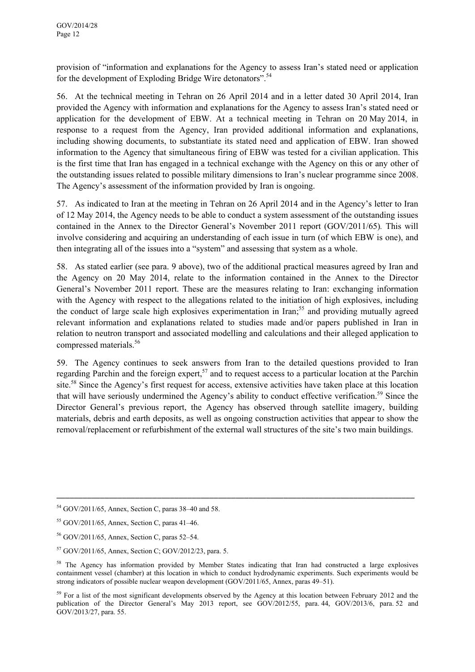provision of "information and explanations for the Agency to assess Iran's stated need or application for the development of Exploding Bridge Wire detonators".<sup>54</sup>

56. At the technical meeting in Tehran on 26 April 2014 and in a letter dated 30 April 2014, Iran provided the Agency with information and explanations for the Agency to assess Iran's stated need or application for the development of EBW. At a technical meeting in Tehran on 20 May 2014, in response to a request from the Agency, Iran provided additional information and explanations, including showing documents, to substantiate its stated need and application of EBW. Iran showed information to the Agency that simultaneous firing of EBW was tested for a civilian application. This is the first time that Iran has engaged in a technical exchange with the Agency on this or any other of the outstanding issues related to possible military dimensions to Iran's nuclear programme since 2008. The Agency's assessment of the information provided by Iran is ongoing.

57. As indicated to Iran at the meeting in Tehran on 26 April 2014 and in the Agency's letter to Iran of 12 May 2014, the Agency needs to be able to conduct a system assessment of the outstanding issues contained in the Annex to the Director General's November 2011 report (GOV/2011/65)*.* This will involve considering and acquiring an understanding of each issue in turn (of which EBW is one), and then integrating all of the issues into a "system" and assessing that system as a whole.

58. As stated earlier (see para. 9 above), two of the additional practical measures agreed by Iran and the Agency on 20 May 2014, relate to the information contained in the Annex to the Director General's November 2011 report. These are the measures relating to Iran: exchanging information with the Agency with respect to the allegations related to the initiation of high explosives, including the conduct of large scale high explosives experimentation in Iran;<sup>55</sup> and providing mutually agreed relevant information and explanations related to studies made and/or papers published in Iran in relation to neutron transport and associated modelling and calculations and their alleged application to compressed materials.<sup>56</sup>

59. The Agency continues to seek answers from Iran to the detailed questions provided to Iran regarding Parchin and the foreign expert,<sup>57</sup> and to request access to a particular location at the Parchin site.<sup>58</sup> Since the Agency's first request for access, extensive activities have taken place at this location that will have seriously undermined the Agency's ability to conduct effective verification.<sup>59</sup> Since the Director General's previous report, the Agency has observed through satellite imagery, building materials, debris and earth deposits, as well as ongoing construction activities that appear to show the removal/replacement or refurbishment of the external wall structures of the site's two main buildings.

<sup>54</sup> GOV/2011/65, Annex, Section C, paras 38–40 and 58.

<sup>55</sup> GOV/2011/65, Annex, Section C, paras 41–46.

<sup>56</sup> GOV/2011/65, Annex, Section C, paras 52–54.

<sup>57</sup> GOV/2011/65, Annex, Section C; GOV/2012/23, para. 5.

<sup>&</sup>lt;sup>58</sup> The Agency has information provided by Member States indicating that Iran had constructed a large explosives containment vessel (chamber) at this location in which to conduct hydrodynamic experiments. Such experiments would be strong indicators of possible nuclear weapon development (GOV/2011/65, Annex, paras 49–51).

<sup>&</sup>lt;sup>59</sup> For a list of the most significant developments observed by the Agency at this location between February 2012 and the publication of the Director General's May 2013 report, see GOV/2012/55, para. 44, GOV/2013/6, para. 52 and GOV/2013/27, para. 55.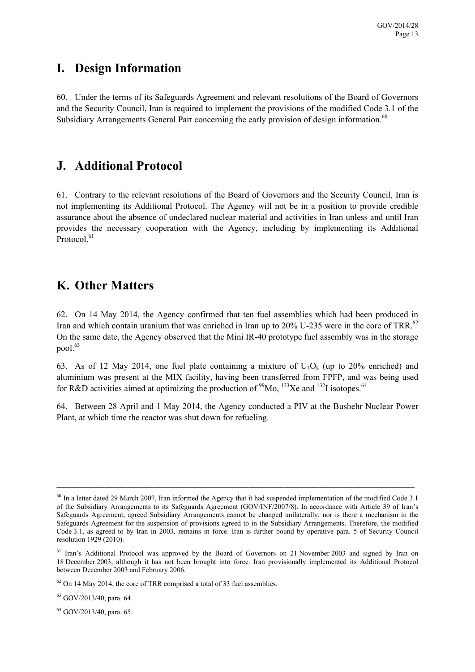## **I. Design Information**

60. Under the terms of its Safeguards Agreement and relevant resolutions of the Board of Governors and the Security Council, Iran is required to implement the provisions of the modified Code 3.1 of the Subsidiary Arrangements General Part concerning the early provision of design information.<sup>60</sup>

### **J. Additional Protocol**

61. Contrary to the relevant resolutions of the Board of Governors and the Security Council, Iran is not implementing its Additional Protocol. The Agency will not be in a position to provide credible assurance about the absence of undeclared nuclear material and activities in Iran unless and until Iran provides the necessary cooperation with the Agency, including by implementing its Additional Protocol.<sup>61</sup>

## **K. Other Matters**

62. On 14 May 2014, the Agency confirmed that ten fuel assemblies which had been produced in Iran and which contain uranium that was enriched in Iran up to 20% U-235 were in the core of TRR.<sup>62</sup> On the same date, the Agency observed that the Mini IR-40 prototype fuel assembly was in the storage pool $63$ 

63. As of 12 May 2014, one fuel plate containing a mixture of  $U_3O_8$  (up to 20% enriched) and aluminium was present at the MIX facility, having been transferred from FPFP, and was being used for R&D activities aimed at optimizing the production of  $\frac{99}{13}$ Xe and  $\frac{132}{1}$  isotopes.<sup>64</sup>

64. Between 28 April and 1 May 2014, the Agency conducted a PIV at the Bushehr Nuclear Power Plant, at which time the reactor was shut down for refueling.

\_\_\_\_\_\_\_\_\_\_\_\_\_\_\_\_\_\_\_\_\_\_\_\_\_\_\_\_\_\_\_\_\_\_\_\_\_\_\_\_\_\_\_\_\_\_\_\_\_\_\_\_\_\_\_\_\_\_\_\_\_\_\_\_\_\_\_\_\_\_\_\_\_\_\_\_\_\_\_\_\_\_

 $63$  GOV/2013/40, para, 64.

64 GOV/2013/40, para. 65.

 $60$  In a letter dated 29 March 2007, Iran informed the Agency that it had suspended implementation of the modified Code 3.1 of the Subsidiary Arrangements to its Safeguards Agreement (GOV/INF/2007/8). In accordance with Article 39 of Iran's Safeguards Agreement, agreed Subsidiary Arrangements cannot be changed unilaterally; nor is there a mechanism in the Safeguards Agreement for the suspension of provisions agreed to in the Subsidiary Arrangements. Therefore, the modified Code 3.1, as agreed to by Iran in 2003, remains in force. Iran is further bound by operative para. 5 of Security Council resolution 1929 (2010).

<sup>&</sup>lt;sup>61</sup> Iran's Additional Protocol was approved by the Board of Governors on 21 November 2003 and signed by Iran on 18 December 2003, although it has not been brought into force. Iran provisionally implemented its Additional Protocol between December 2003 and February 2006.

 $62$  On 14 May 2014, the core of TRR comprised a total of 33 fuel assemblies.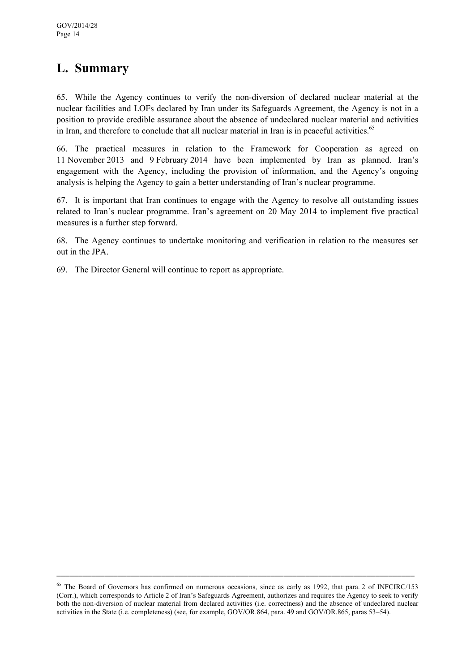# **L. Summary**

65. While the Agency continues to verify the non-diversion of declared nuclear material at the nuclear facilities and LOFs declared by Iran under its Safeguards Agreement, the Agency is not in a position to provide credible assurance about the absence of undeclared nuclear material and activities in Iran, and therefore to conclude that all nuclear material in Iran is in peaceful activities.<sup>65</sup>

66. The practical measures in relation to the Framework for Cooperation as agreed on 11 November 2013 and 9 February 2014 have been implemented by Iran as planned. Iran's engagement with the Agency, including the provision of information, and the Agency's ongoing analysis is helping the Agency to gain a better understanding of Iran's nuclear programme.

67. It is important that Iran continues to engage with the Agency to resolve all outstanding issues related to Iran's nuclear programme. Iran's agreement on 20 May 2014 to implement five practical measures is a further step forward.

68. The Agency continues to undertake monitoring and verification in relation to the measures set out in the JPA.

69. The Director General will continue to report as appropriate.

<sup>&</sup>lt;sup>65</sup> The Board of Governors has confirmed on numerous occasions, since as early as 1992, that para. 2 of INFCIRC/153 (Corr.), which corresponds to Article 2 of Iran's Safeguards Agreement, authorizes and requires the Agency to seek to verify both the non-diversion of nuclear material from declared activities (i.e. correctness) and the absence of undeclared nuclear activities in the State (i.e. completeness) (see, for example, GOV/OR.864, para. 49 and GOV/OR.865, paras 53–54).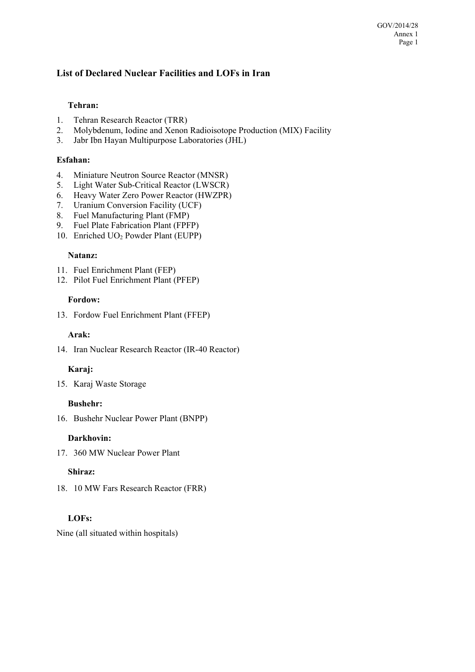#### **List of Declared Nuclear Facilities and LOFs in Iran**

#### **Tehran:**

- 1. Tehran Research Reactor (TRR)
- 2. Molybdenum, Iodine and Xenon Radioisotope Production (MIX) Facility
- 3. Jabr Ibn Hayan Multipurpose Laboratories (JHL)

#### **Esfahan:**

- 4. Miniature Neutron Source Reactor (MNSR)
- 5. Light Water Sub-Critical Reactor (LWSCR)
- 6. Heavy Water Zero Power Reactor (HWZPR)
- 7. Uranium Conversion Facility (UCF)
- 8. Fuel Manufacturing Plant (FMP)
- 9. Fuel Plate Fabrication Plant (FPFP)
- 10. Enriched UO<sub>2</sub> Powder Plant (EUPP)

#### **Natanz:**

- 11. Fuel Enrichment Plant (FEP)
- 12. Pilot Fuel Enrichment Plant (PFEP)

#### **Fordow:**

13. Fordow Fuel Enrichment Plant (FFEP)

#### **Arak:**

14. Iran Nuclear Research Reactor (IR-40 Reactor)

#### **Karaj:**

15. Karaj Waste Storage

#### **Bushehr:**

16. Bushehr Nuclear Power Plant (BNPP)

#### **Darkhovin:**

17. 360 MW Nuclear Power Plant

#### **Shiraz:**

18. 10 MW Fars Research Reactor (FRR)

#### **LOFs:**

Nine (all situated within hospitals)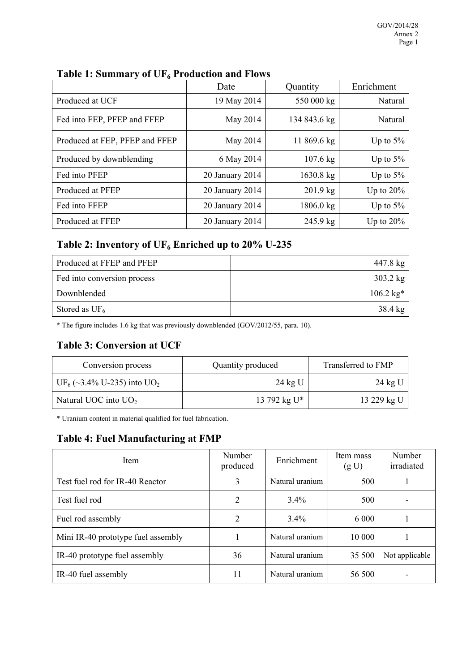|                                | Date            | Quantity            | Enrichment   |  |
|--------------------------------|-----------------|---------------------|--------------|--|
| Produced at UCF                | 19 May 2014     | 550 000 kg          | Natural      |  |
| Fed into FEP, PFEP and FFEP    | May 2014        | 134 843.6 kg        | Natural      |  |
| Produced at FEP, PFEP and FFEP | May 2014        | 11 869.6 kg         | Up to $5\%$  |  |
| Produced by downblending       | 6 May 2014      | $107.6 \text{ kg}$  | Up to $5%$   |  |
| Fed into PFEP                  | 20 January 2014 | $1630.8 \text{ kg}$ | Up to $5\%$  |  |
| Produced at PFEP               | 20 January 2014 | $201.9$ kg          | Up to $20\%$ |  |
| Fed into FFEP                  | 20 January 2014 | 1806.0 kg           | Up to $5\%$  |  |
| Produced at FFEP               | 20 January 2014 | $245.9 \text{ kg}$  | Up to $20\%$ |  |

### Table 1: Summary of UF<sub>6</sub> Production and Flows

### Table 2: Inventory of UF<sub>6</sub> Enriched up to 20% U-235

| Produced at FFEP and PFEP   | 447.8 kg            |
|-----------------------------|---------------------|
| Fed into conversion process | $303.2 \text{ kg}$  |
| Downblended                 | $106.2 \text{ kg*}$ |
| Stored as $UF_6$            | $38.4 \text{ kg}$   |

**\*** The figure includes 1.6 kg that was previously downblended (GOV/2012/55, para. 10).

### **Table 3: Conversion at UCF**

| Conversion process                                 | Quantity produced | Transferred to FMP |  |
|----------------------------------------------------|-------------------|--------------------|--|
| UF <sub>6</sub> (~3.4% U-235) into UO <sub>2</sub> | $24$ kg U         | 24 kg U            |  |
| Natural UOC into $UO2$                             | 13 792 kg U*      | 13 229 kg U        |  |

\* Uranium content in material qualified for fuel fabrication.

### **Table 4: Fuel Manufacturing at FMP**

| Item                               | Number<br>produced | Enrichment      | Item mass<br>(g U) | Number<br>irradiated |
|------------------------------------|--------------------|-----------------|--------------------|----------------------|
| Test fuel rod for IR-40 Reactor    | 3                  | Natural uranium | 500                |                      |
| Test fuel rod                      | 2                  | 3.4%            | 500                |                      |
| Fuel rod assembly                  | 2                  | $3.4\%$         | 6 0 0 0            |                      |
| Mini IR-40 prototype fuel assembly |                    | Natural uranium | 10 000             |                      |
| IR-40 prototype fuel assembly      | 36                 | Natural uranium | 35 500             | Not applicable       |
| IR-40 fuel assembly                | 11                 | Natural uranium | 56 500             |                      |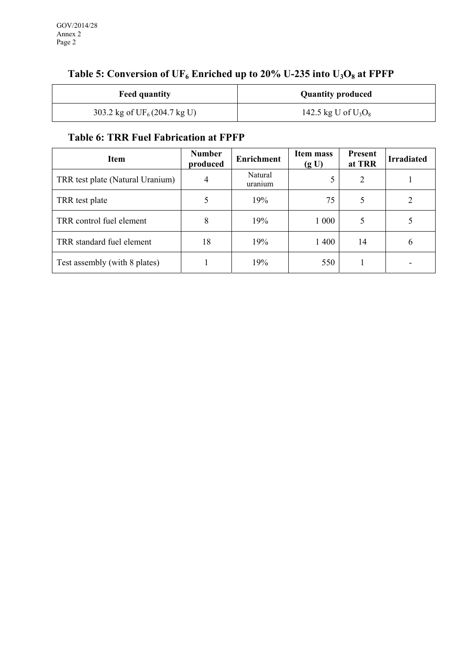| <b>Feed quantity</b>                   | <b>Quantity produced</b> |
|----------------------------------------|--------------------------|
| 303.2 kg of $UF_6(204.7 \text{ kg U})$ | 142.5 kg U of $U_3O_8$   |

# Table 5: Conversion of UF<sub>6</sub> Enriched up to 20% U-235 into U<sub>3</sub>O<sub>8</sub> at FPFP

### **Table 6: TRR Fuel Fabrication at FPFP**

| <b>Item</b>                      | <b>Number</b><br>produced | <b>Enrichment</b>  | Item mass<br>(g U) | <b>Present</b><br>at TRR | <b>Irradiated</b> |
|----------------------------------|---------------------------|--------------------|--------------------|--------------------------|-------------------|
| TRR test plate (Natural Uranium) | 4                         | Natural<br>uranıum |                    | $\overline{2}$           |                   |
| TRR test plate                   |                           | 19%                | 75                 | 5                        |                   |
| TRR control fuel element         | 8                         | 19%                | 1 000              | 5                        |                   |
| TRR standard fuel element        | 18                        | 19%                | 1 400              | 14                       | $\mathfrak b$     |
| Test assembly (with 8 plates)    |                           | 19%                | 550                |                          |                   |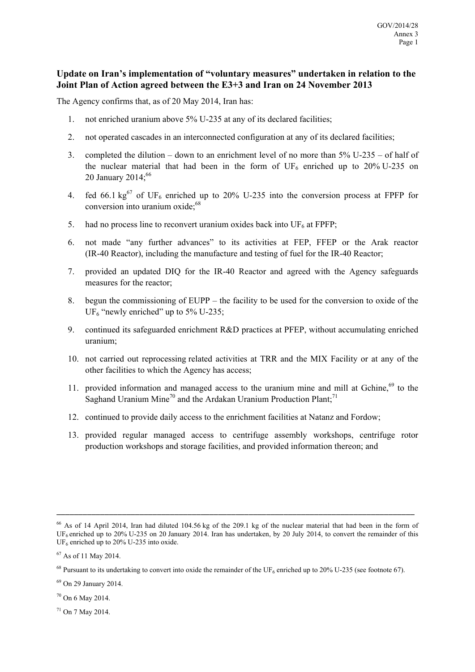#### **Update on Iran's implementation of "voluntary measures" undertaken in relation to the Joint Plan of Action agreed between the E3+3 and Iran on 24 November 2013**

The Agency confirms that, as of 20 May 2014, Iran has:

- 1. not enriched uranium above 5% U-235 at any of its declared facilities;
- 2. not operated cascades in an interconnected configuration at any of its declared facilities;
- 3. completed the dilution down to an enrichment level of no more than 5% U-235 of half of the nuclear material that had been in the form of UF<sub>6</sub> enriched up to 20% U-235 on 20 January 2014; $^{66}$
- 4. fed 66.1  $\text{kg}^{67}$  of UF<sub>6</sub> enriched up to 20% U-235 into the conversion process at FPFP for conversion into uranium  $oxide:68$
- 5. had no process line to reconvert uranium oxides back into  $UF<sub>6</sub>$  at FPFP;
- 6. not made "any further advances" to its activities at FEP, FFEP or the Arak reactor (IR-40 Reactor), including the manufacture and testing of fuel for the IR-40 Reactor;
- 7. provided an updated DIQ for the IR-40 Reactor and agreed with the Agency safeguards measures for the reactor;
- 8. begun the commissioning of EUPP the facility to be used for the conversion to oxide of the UF<sub>6</sub> "newly enriched" up to  $5\%$  U-235;
- 9. continued its safeguarded enrichment R&D practices at PFEP, without accumulating enriched uranium;
- 10. not carried out reprocessing related activities at TRR and the MIX Facility or at any of the other facilities to which the Agency has access;
- 11. provided information and managed access to the uranium mine and mill at Gchine, $69$  to the Saghand Uranium Mine<sup>70</sup> and the Ardakan Uranium Production Plant;<sup>71</sup>
- 12. continued to provide daily access to the enrichment facilities at Natanz and Fordow;
- 13. provided regular managed access to centrifuge assembly workshops, centrifuge rotor production workshops and storage facilities, and provided information thereon; and

\_\_\_\_\_\_\_\_\_\_\_\_\_\_\_\_\_\_\_\_\_\_\_\_\_\_\_\_\_\_\_\_\_\_\_\_\_\_\_\_\_\_\_\_\_\_\_\_\_\_\_\_\_\_\_\_\_\_\_\_\_\_\_\_\_\_\_\_\_\_\_\_\_\_\_\_\_\_\_\_\_\_

70 On 6 May 2014.

71 On 7 May 2014.

<sup>66</sup> As of 14 April 2014, Iran had diluted 104.56 kg of the 209.1 kg of the nuclear material that had been in the form of UF<sub>6</sub> enriched up to 20% U-235 on 20 January 2014. Iran has undertaken, by 20 July 2014, to convert the remainder of this  $UF<sub>6</sub>$  enriched up to 20% U-235 into oxide.

<sup>67</sup> As of 11 May 2014.

 $^{68}$  Pursuant to its undertaking to convert into oxide the remainder of the UF<sub>6</sub> enriched up to 20% U-235 (see footnote 67).

<sup>69</sup> On 29 January 2014.